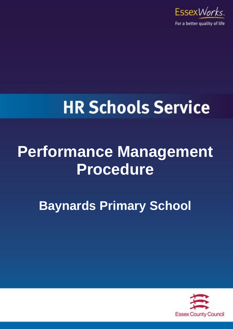

# **HR Schools Service**

# **Performance Management Procedure**

**Baynards Primary School**

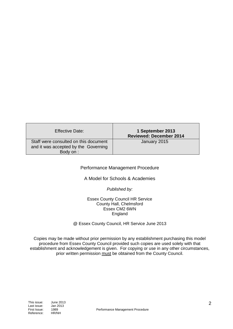| Effective Date:                                                                            | 1 September 2013<br><b>Reviewed: December 2014</b> |
|--------------------------------------------------------------------------------------------|----------------------------------------------------|
| Staff were consulted on this document<br>and it was accepted by the Governing<br>Body on : | January 2015                                       |

#### Performance Management Procedure

#### A Model for Schools & Academies

#### *Published by:*

#### Essex County Council HR Service County Hall, Chelmsford Essex CM2 6WN England

@ Essex County Council, HR Service June 2013

Copies may be made without prior permission by any establishment purchasing this model procedure from Essex County Council provided such copies are used solely with that establishment and acknowledgement is given. For copying or use in any other circumstances, prior written permission must be obtained from the County Council.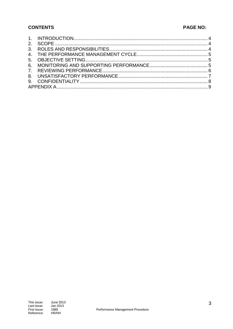#### **CONTENTS**

### **PAGE NO:**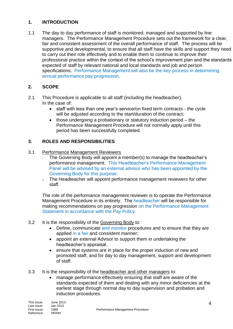#### <span id="page-3-0"></span>**1. INTRODUCTION**

1.1 The day to day performance of staff is monitored, managed and supported by line managers. The Performance Management Procedure sets out the framework for a clear, fair and consistent assessment of the overall performance of staff. The process will be supportive and developmental, to ensure that all staff have the skills and support they need to carry out their role effectively and to enable them to continue to improve their professional practice within the context of the school's improvement plan and the standards expected of staff by relevant national and local standards and job and person specifications. Performance Management will also be the key process in determining annual performance pay progression,

#### <span id="page-3-1"></span>**2. SCOPE**

- 2.1 This Procedure is applicable to all staff (including the headteacher). In the case of:
	- staff with less than one year's service/on fixed term contracts the cycle will be adjusted according to the start/duration of the contract:
	- those undergoing a probationary or statutory induction period the Performance Management Procedure will not normally apply until this period has been successfully completed.

#### <span id="page-3-2"></span>**3. ROLES AND RESPONSIBILITIES**

- 3.1 Performance Management Reviewers
	- o The Governing Body will appoint a member(s) to manage the headteacher's performance management. This Headteacher's Performance Management Panel will be advised by an external advisor who has been appointed by the Governing Body for this purpose.
	- <sup>o</sup> The Headteacher will appoint performance management reviewers for other staff.

The role of the performance management reviewer is to operate the Performance Management Procedure in its entirety. The headteacher will be responsible for making recommendations on pay progression on the Performance Management Statement in accordance with the Pay Policy.

- 3.2 It is the responsibility of the Governing Body to:
	- Define, communicate and monitor procedures and to ensure that they are applied in a fair and consistent manner;
	- appoint an external Advisor to support them in undertaking the headteacher's appraisal.
	- ensure that systems are in place for the proper induction of new and promoted staff, and for day to day management, support and development of staff.
- 3.3 It is the responsibility of the headteacher and other managers to:
	- manage performance effectively ensuring that staff are aware of the standards expected of them and dealing with any minor deficiencies at the earliest stage through normal day to day supervision and probation and induction procedures.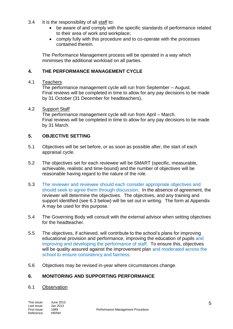- 3.4 It is the responsibility of all staff to:
	- be aware of and comply with the specific standards of performance related to their area of work and workplace;
	- comply fully with this procedure and to co-operate with the processes contained therein.

The Performance Management process will be operated in a way which minimises the additional workload on all parties.

#### <span id="page-4-0"></span>**4. THE PERFORMANCE MANAGEMENT CYCLE**

#### 4.1 Teachers

The performance management cycle will run from September – August. Final reviews will be completed in time to allow for any pay decisions to be made by 31 October (31 December for headteachers).

#### 4.2 Support Staff

The performance management cycle will run from April – March. Final reviews will be completed in time to allow for any pay decisions to be made by 31 March.

#### <span id="page-4-1"></span>**5. OBJECTIVE SETTING**

- 5.1 Objectives will be set before, or as soon as possible after, the start of each appraisal cycle.
- 5.2 The objectives set for each reviewee will be SMART (specific, measurable, achievable, realistic and time-bound) and the number of objectives will be reasonable having regard to the nature of the role.
- 5.3 The reviewer and reviewee should each consider appropriate objectives and should seek to agree them through discussion. In the absence of agreement, the reviewer will determine the objectives. The objectives, and any training and support identified (see 6.3 below) will be set out in writing. The form at Appendix A may be used for this purpose.
- 5.4 The Governing Body will consult with the external advisor when setting objectives for the headteacher.
- 5.5 The objectives, if achieved, will contribute to the school's plans for improving educational provision and performance, improving the education of pupils and improving and developing the performance of staff. To ensure this, objectives will be quality assured against the improvement plan and moderated across the school to ensure consistency and fairness.
- 5.6 Objectives may be revised in-year where circumstances change.

#### <span id="page-4-2"></span>**6. MONITORING AND SUPPORTING PERFORMANCE**

#### 6.1 Observation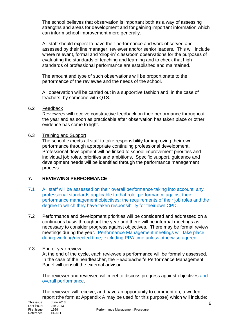The school believes that observation is important both as a way of assessing strengths and areas for development and for gaining important information which can inform school improvement more generally.

All staff should expect to have their performance and work observed and assessed by their line manager, reviewer and/or senior leaders. This will include where relevant, formal and 'drop-in' classroom observations for the purposes of evaluating the standards of teaching and learning and to check that high standards of professional performance are established and maintained.

The amount and type of such observations will be proportionate to the performance of the reviewee and the needs of the school.

All observation will be carried out in a supportive fashion and, in the case of teachers, by someone with QTS.

#### 6.2 Feedback

Reviewees will receive constructive feedback on their performance throughout the year and as soon as practicable after observation has taken place or other evidence has come to light.

#### 6.3 Training and Support

The school expects all staff to take responsibility for improving their own performance through appropriate continuing professional development. Professional development will be linked to school improvement priorities and individual job roles, priorities and ambitions. Specific support, guidance and development needs will be identified through the performance management process.

#### <span id="page-5-0"></span>**7. REVIEWING PERFORMANCE**

- 7.1 All staff will be assessed on their overall performance taking into account: any professional standards applicable to that role; performance against their performance management objectives; the requirements of their job roles and the degree to which they have taken responsibility for their own CPD.
- 7.2 Performance and development priorities will be considered and addressed on a continuous basis throughout the year and there will be informal meetings as necessary to consider progress against objectives. There may be formal review meetings during the year. Performance Management meetings will take place during working/directed time, excluding PPA time unless otherwise agreed.

#### 7.3 End of year review

At the end of the cycle, each reviewee's performance will be formally assessed. In the case of the headteacher, the Headteacher's Performance Management Panel will consult the external advisor.

The reviewer and reviewee will meet to discuss progress against objectives and overall performance.

The reviewee will receive, and have an opportunity to comment on, a written report (the form at Appendix A may be used for this purpose) which will include: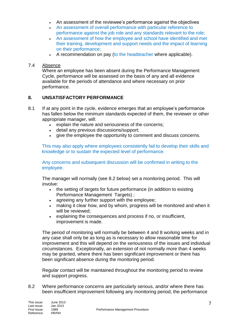- An assessment of the reviewee's performance against the objectives
- An assessment of overall performance with particular reference to performance against the job role and any standards relevant to the role;
- An assessment of how the employee and school have identified and met their training, development and support needs and the impact of learning on their performance;
- A recommendation on pay (to the headteacher where applicable).

#### 7.4 Absence

Where an employee has been absent during the Performance Management Cycle, performance will be assessed on the basis of any and all evidence available for the periods of attendance and where necessary on prior performance.

#### <span id="page-6-0"></span>**8. UNSATISFACTORY PERFORMANCE**

- 8.1 If at any point in the cycle, evidence emerges that an employee's performance has fallen below the minimum standards expected of them, the reviewer or other appropriate manager, will:
	- explain the nature and seriousness of the concerns;
	- detail any previous discussions/support;
	- give the employee the opportunity to comment and discuss concerns.

This may also apply where employees consistently fail to develop their skills and knowledge or to sustain the expected level of performance.

Any concerns and subsequent discussion will be confirmed in writing to the employee.

The manager will normally (see 8.2 below) set a monitoring period. This will involve:

- the setting of targets for future performance (in addition to existing Performance Management Targets) :
- agreeing any further support with the employee;
- making it clear how, and by whom, progress will be monitored and when it will be reviewed;
- explaining the consequences and process if no, or insufficient, improvement is made.

The period of monitoring will normally be between 4 and 8 working weeks and in any case shall only be as long as is necessary to allow reasonable time for improvement and this will depend on the seriousness of the issues and individual circumstances. Exceptionally, an extension of not normally more than 4 weeks may be granted, where there has been significant improvement or there has been significant absence during the monitoring period.

Regular contact will be maintained throughout the monitoring period to review and support progress.

8.2 Where performance concerns are particularly serious, and/or where there has been insufficient improvement following any monitoring period, the performance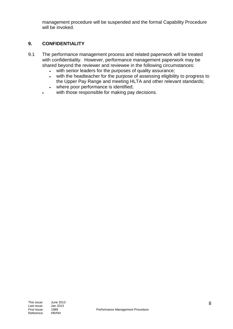management procedure will be suspended and the formal Capability Procedure will be invoked.

#### <span id="page-7-0"></span>**9. CONFIDENTIALITY**

- 9.1 The performance management process and related paperwork will be treated with confidentiality. However, performance management paperwork may be shared beyond the reviewer and reviewee in the following circumstances:
	- with senior leaders for the purposes of quality assurance;
	- with the headteacher for the purpose of assessing eligibility to progress to the Upper Pay Range and meeting HLTA and other relevant standards;
	- where poor performance is identified;
	- with those responsible for making pay decisions.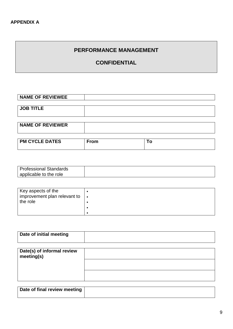# <span id="page-8-0"></span>**PERFORMANCE MANAGEMENT**

# **CONFIDENTIAL**

| <b>NAME OF REVIEWEE</b> |  |
|-------------------------|--|
|                         |  |
| <b>JOB TITLE</b>        |  |
|                         |  |
|                         |  |

| <b>NAME OF REVIEWER</b> |             |     |
|-------------------------|-------------|-----|
|                         |             |     |
| <b>PM CYCLE DATES</b>   | <b>From</b> | l O |

| <b>Professional Standards</b> |  |
|-------------------------------|--|
| applicable to the role        |  |

| Key aspects of the<br>improvement plan relevant to | ∣ ● |
|----------------------------------------------------|-----|
| the role                                           |     |
|                                                    |     |
|                                                    |     |

| Date of initial meeting                  |  |
|------------------------------------------|--|
|                                          |  |
| Date(s) of informal review<br>meeting(s) |  |
|                                          |  |
|                                          |  |

| Date of final review meeting |  |
|------------------------------|--|
|                              |  |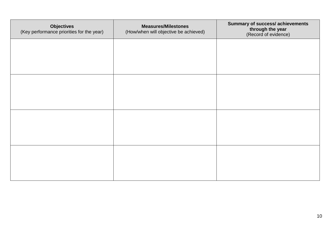| <b>Objectives</b><br>(Key performance priorities for the year) | <b>Measures/Milestones</b><br>(How/when will objective be achieved) | <b>Summary of success/achievements</b><br>through the year<br>(Record of evidence) |
|----------------------------------------------------------------|---------------------------------------------------------------------|------------------------------------------------------------------------------------|
|                                                                |                                                                     |                                                                                    |
|                                                                |                                                                     |                                                                                    |
|                                                                |                                                                     |                                                                                    |
|                                                                |                                                                     |                                                                                    |
|                                                                |                                                                     |                                                                                    |
|                                                                |                                                                     |                                                                                    |
|                                                                |                                                                     |                                                                                    |
|                                                                |                                                                     |                                                                                    |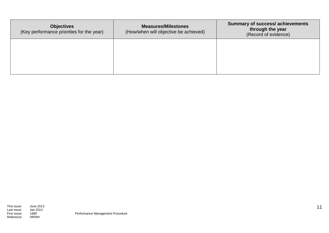| <b>Objectives</b><br>(Key performance priorities for the year) | <b>Measures/Milestones</b><br>(How/when will objective be achieved) | <b>Summary of success/achievements</b><br>through the year<br>(Record of evidence) |
|----------------------------------------------------------------|---------------------------------------------------------------------|------------------------------------------------------------------------------------|
|                                                                |                                                                     |                                                                                    |
|                                                                |                                                                     |                                                                                    |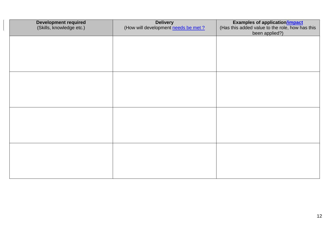| <b>Development required</b><br>(Skills, knowledge etc.) | <b>Delivery</b><br>(How will development needs be met? | <b>Examples of application/impact</b><br>(Has this added value to the role, how has this<br>been applied?) |
|---------------------------------------------------------|--------------------------------------------------------|------------------------------------------------------------------------------------------------------------|
|                                                         |                                                        |                                                                                                            |
|                                                         |                                                        |                                                                                                            |
|                                                         |                                                        |                                                                                                            |
|                                                         |                                                        |                                                                                                            |
|                                                         |                                                        |                                                                                                            |
|                                                         |                                                        |                                                                                                            |
|                                                         |                                                        |                                                                                                            |
|                                                         |                                                        |                                                                                                            |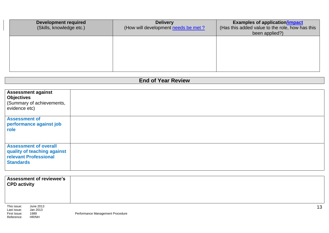| <b>Development required</b><br>(Skills, knowledge etc.) | <b>Delivery</b><br>(How will development needs be met? | <b>Examples of application/impact</b><br>(Has this added value to the role, how has this<br>been applied?) |
|---------------------------------------------------------|--------------------------------------------------------|------------------------------------------------------------------------------------------------------------|
|                                                         |                                                        |                                                                                                            |
|                                                         |                                                        |                                                                                                            |

# **End of Year Review**

| <b>Assessment against</b><br><b>Objectives</b><br>(Summary of achievements,<br>evidence etc)             |  |
|----------------------------------------------------------------------------------------------------------|--|
| <b>Assessment of</b><br>performance against job<br>role                                                  |  |
| <b>Assessment of overall</b><br>quality of teaching against<br>relevant Professional<br><b>Standards</b> |  |

| <b>CPD activity</b>                                      | <b>Assessment of reviewee's</b>        |                                  |    |
|----------------------------------------------------------|----------------------------------------|----------------------------------|----|
| This issue:<br>Last issue:<br>First Issue:<br>Reference: | June 2013<br>Jan 2013<br>1989<br>HR/NH | Performance Management Procedure | 13 |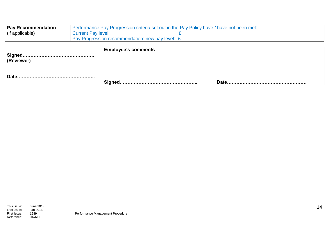| <b>Pay Recommendation</b> | Performance Pay Progression criteria set out in the Pay Policy have / have not been met: |  |
|---------------------------|------------------------------------------------------------------------------------------|--|
| (if applicable)           | <b>Current Pay level:</b>                                                                |  |
|                           | Pay Progression recommendation: new pay level: £                                         |  |

| ,Signed…………………………………………<br><b>(Reviewer)</b> | <b>Employee's comments</b> |             |
|----------------------------------------------|----------------------------|-------------|
| Date.                                        | Signed                     | <b>Date</b> |
|                                              |                            |             |